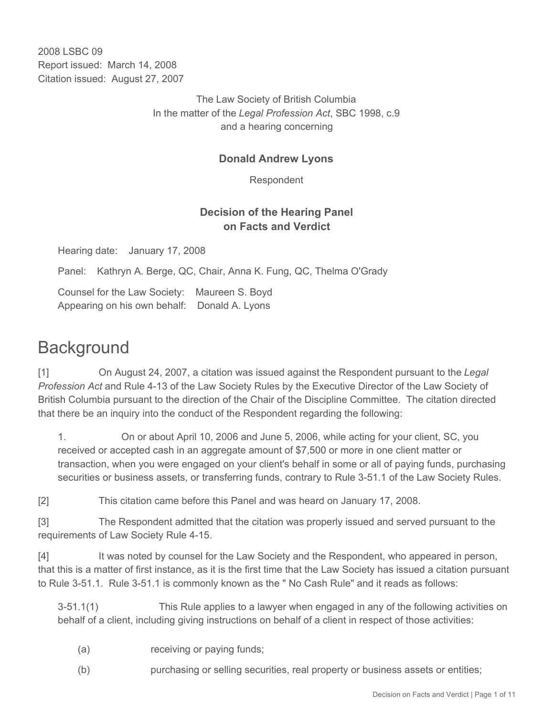2008 LSBC 09 Report issued: March 14, 2008 Citation issued: August 27, 2007

> The Law Society of British Columbia In the matter of the *Legal Profession Act*, SBC 1998, c.9 and a hearing concerning

## **Donald Andrew Lyons**

Respondent

## **Decision of the Hearing Panel on Facts and Verdict**

Hearing date: January 17, 2008

Panel: Kathryn A. Berge, QC, Chair, Anna K. Fung, QC, Thelma O'Grady

Counsel for the Law Society: Maureen S. Boyd Appearing on his own behalf: Donald A. Lyons

# **Background**

[1] On August 24, 2007, a citation was issued against the Respondent pursuant to the *Legal Profession Act* and Rule 4-13 of the Law Society Rules by the Executive Director of the Law Society of British Columbia pursuant to the direction of the Chair of the Discipline Committee. The citation directed that there be an inquiry into the conduct of the Respondent regarding the following:

1. On or about April 10, 2006 and June 5, 2006, while acting for your client, SC, you received or accepted cash in an aggregate amount of \$7,500 or more in one client matter or transaction, when you were engaged on your client's behalf in some or all of paying funds, purchasing securities or business assets, or transferring funds, contrary to Rule 3-51.1 of the Law Society Rules.

[2] This citation came before this Panel and was heard on January 17, 2008.

[3] The Respondent admitted that the citation was properly issued and served pursuant to the requirements of Law Society Rule 4-15.

[4] It was noted by counsel for the Law Society and the Respondent, who appeared in person, that this is a matter of first instance, as it is the first time that the Law Society has issued a citation pursuant to Rule 3-51.1. Rule 3-51.1 is commonly known as the " No Cash Rule" and it reads as follows:

3-51.1(1) This Rule applies to a lawyer when engaged in any of the following activities on behalf of a client, including giving instructions on behalf of a client in respect of those activities:

- (a) receiving or paying funds;
- (b) purchasing or selling securities, real property or business assets or entities;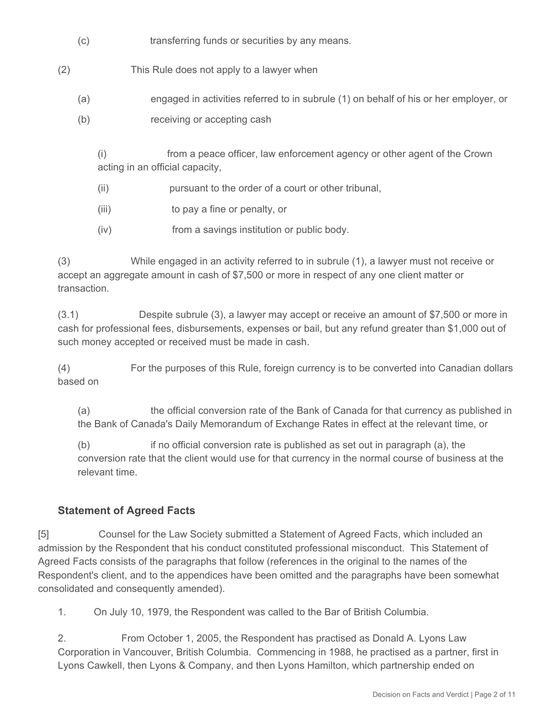- (c) transferring funds or securities by any means.
- (2) This Rule does not apply to a lawyer when
	- (a) engaged in activities referred to in subrule (1) on behalf of his or her employer, or
	- (b) receiving or accepting cash

(i) from a peace officer, law enforcement agency or other agent of the Crown acting in an official capacity,

- (ii) pursuant to the order of a court or other tribunal,
- (iii) to pay a fine or penalty, or
- (iv) from a savings institution or public body.

(3) While engaged in an activity referred to in subrule (1), a lawyer must not receive or accept an aggregate amount in cash of \$7,500 or more in respect of any one client matter or transaction.

(3.1) Despite subrule (3), a lawyer may accept or receive an amount of \$7,500 or more in cash for professional fees, disbursements, expenses or bail, but any refund greater than \$1,000 out of such money accepted or received must be made in cash.

(4) For the purposes of this Rule, foreign currency is to be converted into Canadian dollars based on

(a) the official conversion rate of the Bank of Canada for that currency as published in the Bank of Canada's Daily Memorandum of Exchange Rates in effect at the relevant time, or

(b) if no official conversion rate is published as set out in paragraph (a), the conversion rate that the client would use for that currency in the normal course of business at the relevant time.

# **Statement of Agreed Facts**

[5] Counsel for the Law Society submitted a Statement of Agreed Facts, which included an admission by the Respondent that his conduct constituted professional misconduct. This Statement of Agreed Facts consists of the paragraphs that follow (references in the original to the names of the Respondent's client, and to the appendices have been omitted and the paragraphs have been somewhat consolidated and consequently amended).

1. On July 10, 1979, the Respondent was called to the Bar of British Columbia.

2. From October 1, 2005, the Respondent has practised as Donald A. Lyons Law Corporation in Vancouver, British Columbia. Commencing in 1988, he practised as a partner, first in Lyons Cawkell, then Lyons & Company, and then Lyons Hamilton, which partnership ended on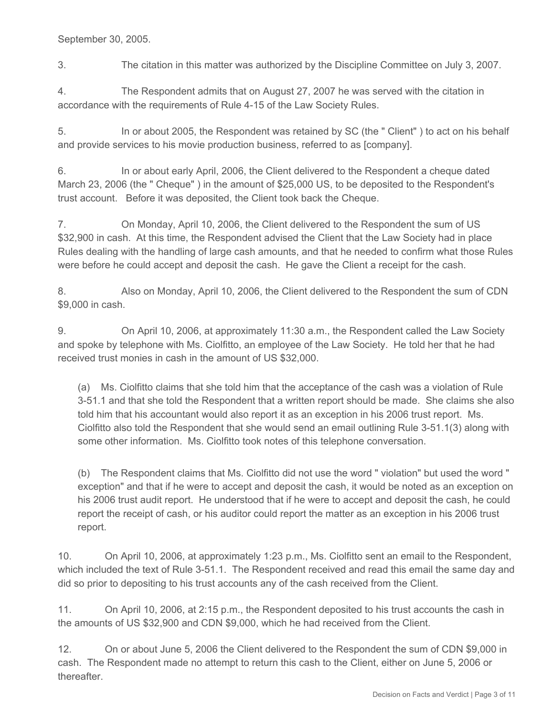September 30, 2005.

3. The citation in this matter was authorized by the Discipline Committee on July 3, 2007.

4. The Respondent admits that on August 27, 2007 he was served with the citation in accordance with the requirements of Rule 4-15 of the Law Society Rules.

5. In or about 2005, the Respondent was retained by SC (the " Client" ) to act on his behalf and provide services to his movie production business, referred to as [company].

6. In or about early April, 2006, the Client delivered to the Respondent a cheque dated March 23, 2006 (the " Cheque" ) in the amount of \$25,000 US, to be deposited to the Respondent's trust account. Before it was deposited, the Client took back the Cheque.

7. On Monday, April 10, 2006, the Client delivered to the Respondent the sum of US \$32,900 in cash. At this time, the Respondent advised the Client that the Law Society had in place Rules dealing with the handling of large cash amounts, and that he needed to confirm what those Rules were before he could accept and deposit the cash. He gave the Client a receipt for the cash.

8. Also on Monday, April 10, 2006, the Client delivered to the Respondent the sum of CDN \$9,000 in cash.

9. On April 10, 2006, at approximately 11:30 a.m., the Respondent called the Law Society and spoke by telephone with Ms. Ciolfitto, an employee of the Law Society. He told her that he had received trust monies in cash in the amount of US \$32,000.

(a) Ms. Ciolfitto claims that she told him that the acceptance of the cash was a violation of Rule 3-51.1 and that she told the Respondent that a written report should be made. She claims she also told him that his accountant would also report it as an exception in his 2006 trust report. Ms. Ciolfitto also told the Respondent that she would send an email outlining Rule 3-51.1(3) along with some other information. Ms. Ciolfitto took notes of this telephone conversation.

(b) The Respondent claims that Ms. Ciolfitto did not use the word " violation" but used the word " exception" and that if he were to accept and deposit the cash, it would be noted as an exception on his 2006 trust audit report. He understood that if he were to accept and deposit the cash, he could report the receipt of cash, or his auditor could report the matter as an exception in his 2006 trust report.

10. On April 10, 2006, at approximately 1:23 p.m., Ms. Ciolfitto sent an email to the Respondent, which included the text of Rule 3-51.1. The Respondent received and read this email the same day and did so prior to depositing to his trust accounts any of the cash received from the Client.

11. On April 10, 2006, at 2:15 p.m., the Respondent deposited to his trust accounts the cash in the amounts of US \$32,900 and CDN \$9,000, which he had received from the Client.

12. On or about June 5, 2006 the Client delivered to the Respondent the sum of CDN \$9,000 in cash. The Respondent made no attempt to return this cash to the Client, either on June 5, 2006 or thereafter.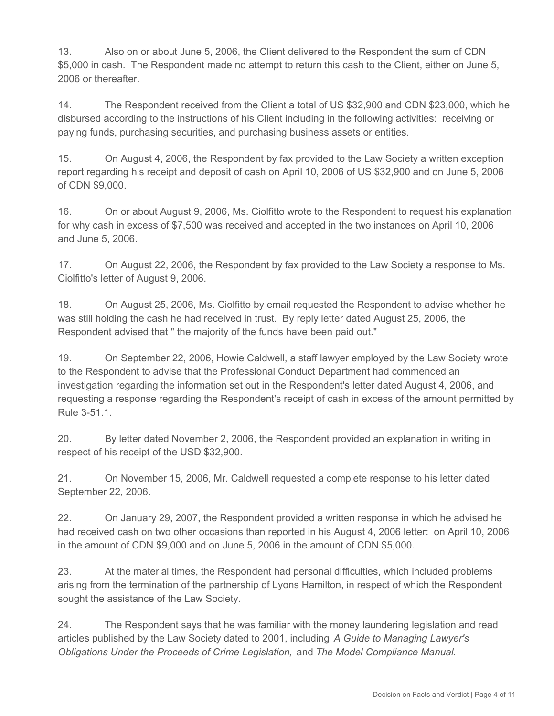13. Also on or about June 5, 2006, the Client delivered to the Respondent the sum of CDN \$5,000 in cash. The Respondent made no attempt to return this cash to the Client, either on June 5, 2006 or thereafter.

14. The Respondent received from the Client a total of US \$32,900 and CDN \$23,000, which he disbursed according to the instructions of his Client including in the following activities: receiving or paying funds, purchasing securities, and purchasing business assets or entities.

15. On August 4, 2006, the Respondent by fax provided to the Law Society a written exception report regarding his receipt and deposit of cash on April 10, 2006 of US \$32,900 and on June 5, 2006 of CDN \$9,000.

16. On or about August 9, 2006, Ms. Ciolfitto wrote to the Respondent to request his explanation for why cash in excess of \$7,500 was received and accepted in the two instances on April 10, 2006 and June 5, 2006.

17. On August 22, 2006, the Respondent by fax provided to the Law Society a response to Ms. Ciolfitto's letter of August 9, 2006.

18. On August 25, 2006, Ms. Ciolfitto by email requested the Respondent to advise whether he was still holding the cash he had received in trust. By reply letter dated August 25, 2006, the Respondent advised that " the majority of the funds have been paid out."

19. On September 22, 2006, Howie Caldwell, a staff lawyer employed by the Law Society wrote to the Respondent to advise that the Professional Conduct Department had commenced an investigation regarding the information set out in the Respondent's letter dated August 4, 2006, and requesting a response regarding the Respondent's receipt of cash in excess of the amount permitted by Rule 3-51.1.

20. By letter dated November 2, 2006, the Respondent provided an explanation in writing in respect of his receipt of the USD \$32,900.

21. On November 15, 2006, Mr. Caldwell requested a complete response to his letter dated September 22, 2006.

22. On January 29, 2007, the Respondent provided a written response in which he advised he had received cash on two other occasions than reported in his August 4, 2006 letter: on April 10, 2006 in the amount of CDN \$9,000 and on June 5, 2006 in the amount of CDN \$5,000.

23. At the material times, the Respondent had personal difficulties, which included problems arising from the termination of the partnership of Lyons Hamilton, in respect of which the Respondent sought the assistance of the Law Society.

24. The Respondent says that he was familiar with the money laundering legislation and read articles published by the Law Society dated to 2001, including *A Guide to Managing Lawyer's Obligations Under the Proceeds of Crime Legislation,* and *The Model Compliance Manual*.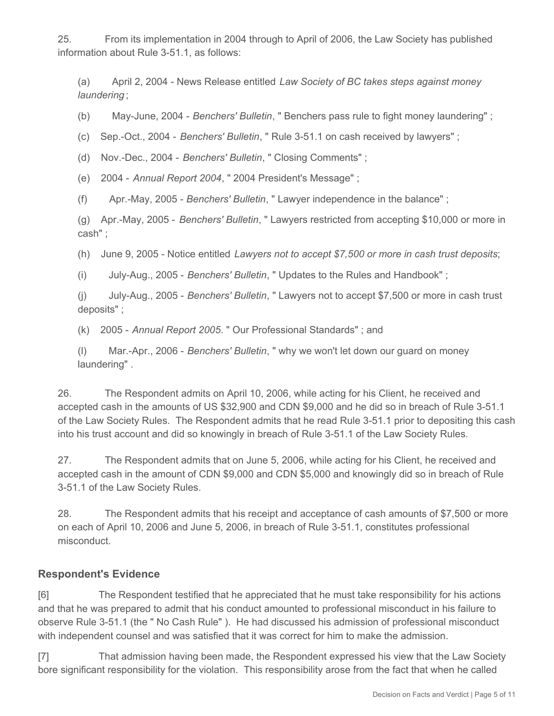25. From its implementation in 2004 through to April of 2006, the Law Society has published information about Rule 3-51.1, as follows:

(a) April 2, 2004 - News Release entitled *Law Society of BC takes steps against money laundering* ;

(b) May-June, 2004 - *Benchers' Bulletin*, " Benchers pass rule to fight money laundering" ;

(c) Sep.-Oct., 2004 - *Benchers' Bulletin*, " Rule 3-51.1 on cash received by lawyers" ;

(d) Nov.-Dec., 2004 - *Benchers' Bulletin*, " Closing Comments" ;

(e) 2004 - *Annual Report 2004*, " 2004 President's Message" ;

(f) Apr.-May, 2005 - *Benchers' Bulletin*, " Lawyer independence in the balance" ;

(g) Apr.-May, 2005 - *Benchers' Bulletin*, " Lawyers restricted from accepting \$10,000 or more in cash" ;

(h) June 9, 2005 - Notice entitled *Lawyers not to accept \$7,500 or more in cash trust deposits*;

(i) July-Aug., 2005 - *Benchers' Bulletin*, " Updates to the Rules and Handbook" ;

(j) July-Aug., 2005 - *Benchers' Bulletin*, " Lawyers not to accept \$7,500 or more in cash trust deposits" ;

(k) 2005 - *Annual Report 2005*. " Our Professional Standards" ; and

(l) Mar.-Apr., 2006 - *Benchers' Bulletin*, " why we won't let down our guard on money laundering" .

26. The Respondent admits on April 10, 2006, while acting for his Client, he received and accepted cash in the amounts of US \$32,900 and CDN \$9,000 and he did so in breach of Rule 3-51.1 of the Law Society Rules. The Respondent admits that he read Rule 3-51.1 prior to depositing this cash into his trust account and did so knowingly in breach of Rule 3-51.1 of the Law Society Rules.

27. The Respondent admits that on June 5, 2006, while acting for his Client, he received and accepted cash in the amount of CDN \$9,000 and CDN \$5,000 and knowingly did so in breach of Rule 3-51.1 of the Law Society Rules.

28. The Respondent admits that his receipt and acceptance of cash amounts of \$7,500 or more on each of April 10, 2006 and June 5, 2006, in breach of Rule 3-51.1, constitutes professional misconduct.

#### **Respondent's Evidence**

[6] The Respondent testified that he appreciated that he must take responsibility for his actions and that he was prepared to admit that his conduct amounted to professional misconduct in his failure to observe Rule 3-51.1 (the " No Cash Rule" ). He had discussed his admission of professional misconduct with independent counsel and was satisfied that it was correct for him to make the admission.

[7] That admission having been made, the Respondent expressed his view that the Law Society bore significant responsibility for the violation. This responsibility arose from the fact that when he called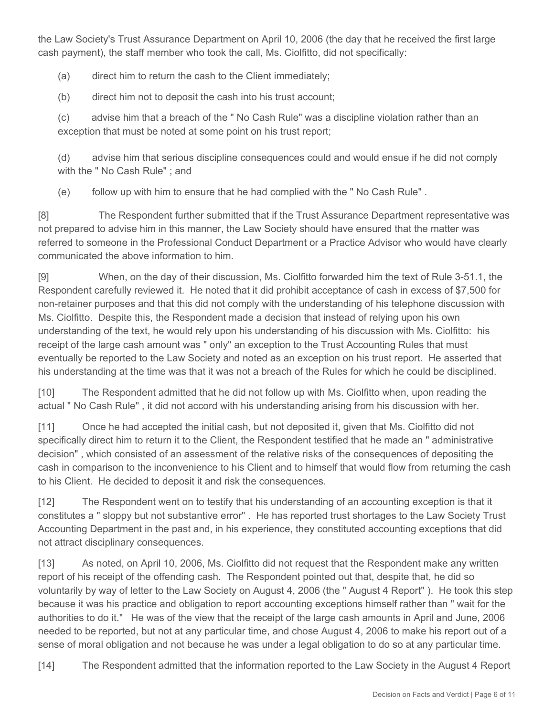the Law Society's Trust Assurance Department on April 10, 2006 (the day that he received the first large cash payment), the staff member who took the call, Ms. Ciolfitto, did not specifically:

(a) direct him to return the cash to the Client immediately;

(b) direct him not to deposit the cash into his trust account;

(c) advise him that a breach of the " No Cash Rule" was a discipline violation rather than an exception that must be noted at some point on his trust report;

(d) advise him that serious discipline consequences could and would ensue if he did not comply with the " No Cash Rule" ; and

(e) follow up with him to ensure that he had complied with the " No Cash Rule" .

[8] The Respondent further submitted that if the Trust Assurance Department representative was not prepared to advise him in this manner, the Law Society should have ensured that the matter was referred to someone in the Professional Conduct Department or a Practice Advisor who would have clearly communicated the above information to him.

[9] When, on the day of their discussion, Ms. Ciolfitto forwarded him the text of Rule 3-51.1, the Respondent carefully reviewed it. He noted that it did prohibit acceptance of cash in excess of \$7,500 for non-retainer purposes and that this did not comply with the understanding of his telephone discussion with Ms. Ciolfitto. Despite this, the Respondent made a decision that instead of relying upon his own understanding of the text, he would rely upon his understanding of his discussion with Ms. Ciolfitto: his receipt of the large cash amount was " only" an exception to the Trust Accounting Rules that must eventually be reported to the Law Society and noted as an exception on his trust report. He asserted that his understanding at the time was that it was not a breach of the Rules for which he could be disciplined.

[10] The Respondent admitted that he did not follow up with Ms. Ciolfitto when, upon reading the actual " No Cash Rule" , it did not accord with his understanding arising from his discussion with her.

[11] Once he had accepted the initial cash, but not deposited it, given that Ms. Ciolfitto did not specifically direct him to return it to the Client, the Respondent testified that he made an " administrative decision" , which consisted of an assessment of the relative risks of the consequences of depositing the cash in comparison to the inconvenience to his Client and to himself that would flow from returning the cash to his Client. He decided to deposit it and risk the consequences.

[12] The Respondent went on to testify that his understanding of an accounting exception is that it constitutes a " sloppy but not substantive error" . He has reported trust shortages to the Law Society Trust Accounting Department in the past and, in his experience, they constituted accounting exceptions that did not attract disciplinary consequences.

[13] As noted, on April 10, 2006, Ms. Ciolfitto did not request that the Respondent make any written report of his receipt of the offending cash. The Respondent pointed out that, despite that, he did so voluntarily by way of letter to the Law Society on August 4, 2006 (the " August 4 Report" ). He took this step because it was his practice and obligation to report accounting exceptions himself rather than " wait for the authorities to do it." He was of the view that the receipt of the large cash amounts in April and June, 2006 needed to be reported, but not at any particular time, and chose August 4, 2006 to make his report out of a sense of moral obligation and not because he was under a legal obligation to do so at any particular time.

[14] The Respondent admitted that the information reported to the Law Society in the August 4 Report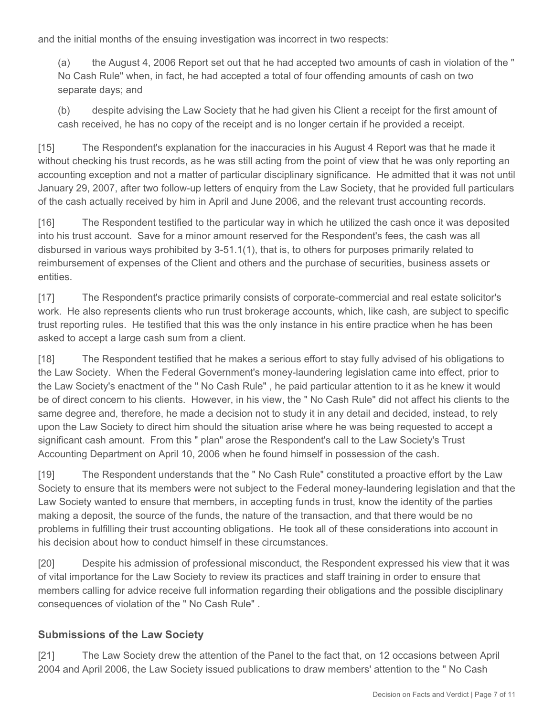and the initial months of the ensuing investigation was incorrect in two respects:

(a) the August 4, 2006 Report set out that he had accepted two amounts of cash in violation of the " No Cash Rule" when, in fact, he had accepted a total of four offending amounts of cash on two separate days; and

(b) despite advising the Law Society that he had given his Client a receipt for the first amount of cash received, he has no copy of the receipt and is no longer certain if he provided a receipt.

[15] The Respondent's explanation for the inaccuracies in his August 4 Report was that he made it without checking his trust records, as he was still acting from the point of view that he was only reporting an accounting exception and not a matter of particular disciplinary significance. He admitted that it was not until January 29, 2007, after two follow-up letters of enquiry from the Law Society, that he provided full particulars of the cash actually received by him in April and June 2006, and the relevant trust accounting records.

[16] The Respondent testified to the particular way in which he utilized the cash once it was deposited into his trust account. Save for a minor amount reserved for the Respondent's fees, the cash was all disbursed in various ways prohibited by 3-51.1(1), that is, to others for purposes primarily related to reimbursement of expenses of the Client and others and the purchase of securities, business assets or entities.

[17] The Respondent's practice primarily consists of corporate-commercial and real estate solicitor's work. He also represents clients who run trust brokerage accounts, which, like cash, are subject to specific trust reporting rules. He testified that this was the only instance in his entire practice when he has been asked to accept a large cash sum from a client.

[18] The Respondent testified that he makes a serious effort to stay fully advised of his obligations to the Law Society. When the Federal Government's money-laundering legislation came into effect, prior to the Law Society's enactment of the " No Cash Rule" , he paid particular attention to it as he knew it would be of direct concern to his clients. However, in his view, the " No Cash Rule" did not affect his clients to the same degree and, therefore, he made a decision not to study it in any detail and decided, instead, to rely upon the Law Society to direct him should the situation arise where he was being requested to accept a significant cash amount. From this " plan" arose the Respondent's call to the Law Society's Trust Accounting Department on April 10, 2006 when he found himself in possession of the cash.

[19] The Respondent understands that the " No Cash Rule" constituted a proactive effort by the Law Society to ensure that its members were not subject to the Federal money-laundering legislation and that the Law Society wanted to ensure that members, in accepting funds in trust, know the identity of the parties making a deposit, the source of the funds, the nature of the transaction, and that there would be no problems in fulfilling their trust accounting obligations. He took all of these considerations into account in his decision about how to conduct himself in these circumstances.

[20] Despite his admission of professional misconduct, the Respondent expressed his view that it was of vital importance for the Law Society to review its practices and staff training in order to ensure that members calling for advice receive full information regarding their obligations and the possible disciplinary consequences of violation of the " No Cash Rule" .

#### **Submissions of the Law Society**

[21] The Law Society drew the attention of the Panel to the fact that, on 12 occasions between April 2004 and April 2006, the Law Society issued publications to draw members' attention to the " No Cash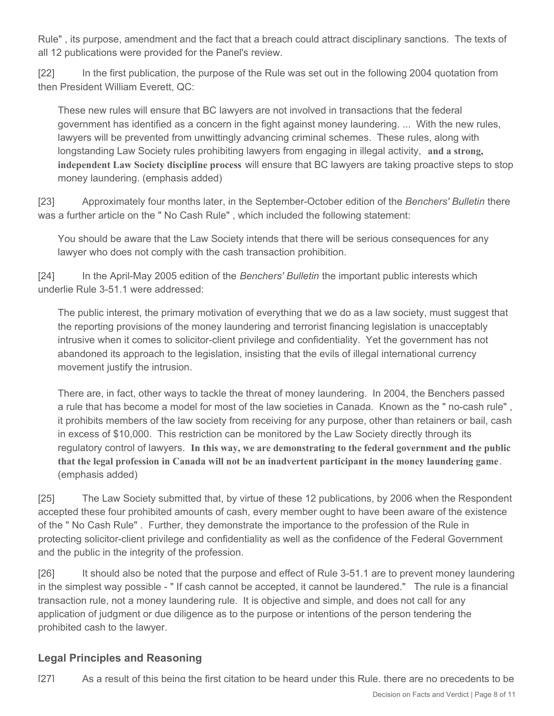Rule" , its purpose, amendment and the fact that a breach could attract disciplinary sanctions. The texts of all 12 publications were provided for the Panel's review.

[22] In the first publication, the purpose of the Rule was set out in the following 2004 quotation from then President William Everett, QC:

These new rules will ensure that BC lawyers are not involved in transactions that the federal government has identified as a concern in the fight against money laundering. ... With the new rules, lawyers will be prevented from unwittingly advancing criminal schemes. These rules, along with longstanding Law Society rules prohibiting lawyers from engaging in illegal activity, **and a strong, independent Law Society discipline process** will ensure that BC lawyers are taking proactive steps to stop money laundering. (emphasis added)

[23] Approximately four months later, in the September-October edition of the *Benchers' Bulletin* there was a further article on the " No Cash Rule" , which included the following statement:

You should be aware that the Law Society intends that there will be serious consequences for any lawyer who does not comply with the cash transaction prohibition.

[24] In the April-May 2005 edition of the *Benchers' Bulletin* the important public interests which underlie Rule 3-51.1 were addressed:

The public interest, the primary motivation of everything that we do as a law society, must suggest that the reporting provisions of the money laundering and terrorist financing legislation is unacceptably intrusive when it comes to solicitor-client privilege and confidentiality. Yet the government has not abandoned its approach to the legislation, insisting that the evils of illegal international currency movement justify the intrusion.

There are, in fact, other ways to tackle the threat of money laundering. In 2004, the Benchers passed a rule that has become a model for most of the law societies in Canada. Known as the " no-cash rule" , it prohibits members of the law society from receiving for any purpose, other than retainers or bail, cash in excess of \$10,000. This restriction can be monitored by the Law Society directly through its regulatory control of lawyers. **In this way, we are demonstrating to the federal government and the public that the legal profession in Canada will not be an inadvertent participant in the money laundering game**. (emphasis added)

[25] The Law Society submitted that, by virtue of these 12 publications, by 2006 when the Respondent accepted these four prohibited amounts of cash, every member ought to have been aware of the existence of the " No Cash Rule" . Further, they demonstrate the importance to the profession of the Rule in protecting solicitor-client privilege and confidentiality as well as the confidence of the Federal Government and the public in the integrity of the profession.

[26] It should also be noted that the purpose and effect of Rule 3-51.1 are to prevent money laundering in the simplest way possible - " If cash cannot be accepted, it cannot be laundered." The rule is a financial transaction rule, not a money laundering rule. It is objective and simple, and does not call for any application of judgment or due diligence as to the purpose or intentions of the person tendering the prohibited cash to the lawyer.

# **Legal Principles and Reasoning**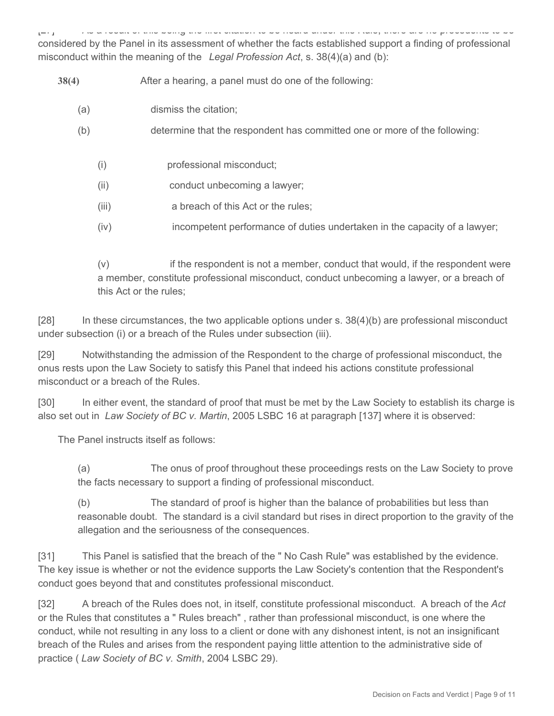[27] As a result of this being the first citation to be heard under this Rule, there are no precedents to be considered by the Panel in its assessment of whether the facts established support a finding of professional misconduct within the meaning of the *Legal Profession Act*, s. 38(4)(a) and (b):

**38(4)** After a hearing, a panel must do one of the following:

- (a) dismiss the citation;
- (b) determine that the respondent has committed one or more of the following:
	- (i) professional misconduct;
	- (ii) conduct unbecoming a lawyer;
	- (iii) a breach of this Act or the rules;
	- (iv) incompetent performance of duties undertaken in the capacity of a lawyer;

(v) if the respondent is not a member, conduct that would, if the respondent were a member, constitute professional misconduct, conduct unbecoming a lawyer, or a breach of this Act or the rules;

[28] In these circumstances, the two applicable options under s. 38(4)(b) are professional misconduct under subsection (i) or a breach of the Rules under subsection (iii).

[29] Notwithstanding the admission of the Respondent to the charge of professional misconduct, the onus rests upon the Law Society to satisfy this Panel that indeed his actions constitute professional misconduct or a breach of the Rules.

[30] In either event, the standard of proof that must be met by the Law Society to establish its charge is also set out in *Law Society of BC v. Martin*, 2005 LSBC 16 at paragraph [137] where it is observed:

The Panel instructs itself as follows:

(a) The onus of proof throughout these proceedings rests on the Law Society to prove the facts necessary to support a finding of professional misconduct.

(b) The standard of proof is higher than the balance of probabilities but less than reasonable doubt. The standard is a civil standard but rises in direct proportion to the gravity of the allegation and the seriousness of the consequences.

[31] This Panel is satisfied that the breach of the " No Cash Rule" was established by the evidence. The key issue is whether or not the evidence supports the Law Society's contention that the Respondent's conduct goes beyond that and constitutes professional misconduct.

[32] A breach of the Rules does not, in itself, constitute professional misconduct. A breach of the *Act* or the Rules that constitutes a " Rules breach" , rather than professional misconduct, is one where the conduct, while not resulting in any loss to a client or done with any dishonest intent, is not an insignificant breach of the Rules and arises from the respondent paying little attention to the administrative side of practice ( *Law Society of BC v. Smith*, 2004 LSBC 29).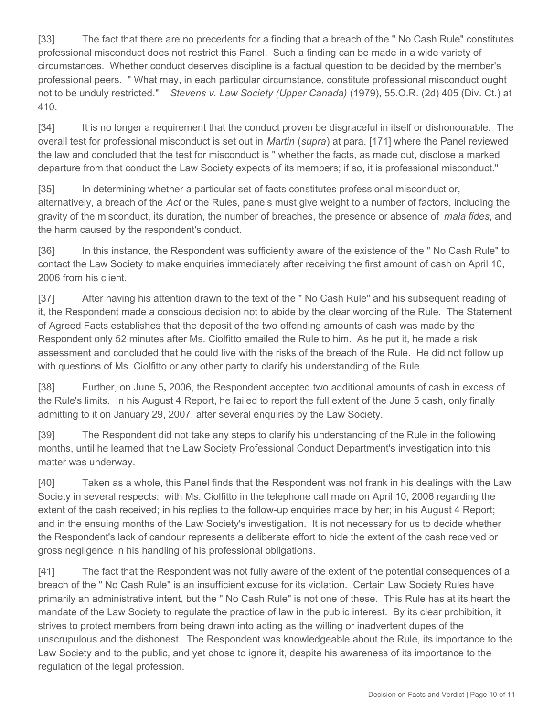[33] The fact that there are no precedents for a finding that a breach of the " No Cash Rule" constitutes professional misconduct does not restrict this Panel. Such a finding can be made in a wide variety of circumstances. Whether conduct deserves discipline is a factual question to be decided by the member's professional peers. " What may, in each particular circumstance, constitute professional misconduct ought not to be unduly restricted." *Stevens v. Law Society (Upper Canada)* (1979), 55.O.R. (2d) 405 (Div. Ct.) at 410.

[34] It is no longer a requirement that the conduct proven be disgraceful in itself or dishonourable. The overall test for professional misconduct is set out in *Martin* (*supra*) at para. [171] where the Panel reviewed the law and concluded that the test for misconduct is " whether the facts, as made out, disclose a marked departure from that conduct the Law Society expects of its members; if so, it is professional misconduct."

[35] In determining whether a particular set of facts constitutes professional misconduct or, alternatively, a breach of the *Act* or the Rules, panels must give weight to a number of factors, including the gravity of the misconduct, its duration, the number of breaches, the presence or absence of *mala fides*, and the harm caused by the respondent's conduct.

[36] In this instance, the Respondent was sufficiently aware of the existence of the " No Cash Rule" to contact the Law Society to make enquiries immediately after receiving the first amount of cash on April 10, 2006 from his client.

[37] After having his attention drawn to the text of the " No Cash Rule" and his subsequent reading of it, the Respondent made a conscious decision not to abide by the clear wording of the Rule. The Statement of Agreed Facts establishes that the deposit of the two offending amounts of cash was made by the Respondent only 52 minutes after Ms. Ciolfitto emailed the Rule to him. As he put it, he made a risk assessment and concluded that he could live with the risks of the breach of the Rule. He did not follow up with questions of Ms. Ciolfitto or any other party to clarify his understanding of the Rule.

[38] Further, on June 5**,** 2006, the Respondent accepted two additional amounts of cash in excess of the Rule's limits. In his August 4 Report, he failed to report the full extent of the June 5 cash, only finally admitting to it on January 29, 2007, after several enquiries by the Law Society.

[39] The Respondent did not take any steps to clarify his understanding of the Rule in the following months, until he learned that the Law Society Professional Conduct Department's investigation into this matter was underway.

[40] Taken as a whole, this Panel finds that the Respondent was not frank in his dealings with the Law Society in several respects: with Ms. Ciolfitto in the telephone call made on April 10, 2006 regarding the extent of the cash received; in his replies to the follow-up enquiries made by her; in his August 4 Report; and in the ensuing months of the Law Society's investigation. It is not necessary for us to decide whether the Respondent's lack of candour represents a deliberate effort to hide the extent of the cash received or gross negligence in his handling of his professional obligations.

[41] The fact that the Respondent was not fully aware of the extent of the potential consequences of a breach of the " No Cash Rule" is an insufficient excuse for its violation. Certain Law Society Rules have primarily an administrative intent, but the " No Cash Rule" is not one of these. This Rule has at its heart the mandate of the Law Society to regulate the practice of law in the public interest. By its clear prohibition, it strives to protect members from being drawn into acting as the willing or inadvertent dupes of the unscrupulous and the dishonest. The Respondent was knowledgeable about the Rule, its importance to the Law Society and to the public, and yet chose to ignore it, despite his awareness of its importance to the regulation of the legal profession.